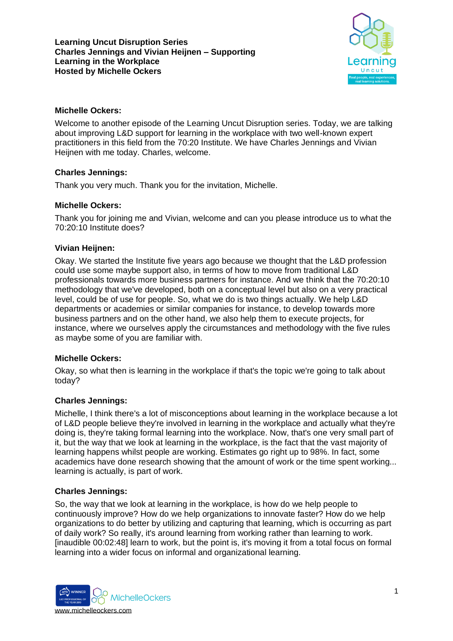

## **Michelle Ockers:**

Welcome to another episode of the Learning Uncut Disruption series. Today, we are talking about improving L&D support for learning in the workplace with two well-known expert practitioners in this field from the 70:20 Institute. We have Charles Jennings and Vivian Heijnen with me today. Charles, welcome.

# **Charles Jennings:**

Thank you very much. Thank you for the invitation, Michelle.

## **Michelle Ockers:**

Thank you for joining me and Vivian, welcome and can you please introduce us to what the 70:20:10 Institute does?

## **Vivian Heijnen:**

Okay. We started the Institute five years ago because we thought that the L&D profession could use some maybe support also, in terms of how to move from traditional L&D professionals towards more business partners for instance. And we think that the 70:20:10 methodology that we've developed, both on a conceptual level but also on a very practical level, could be of use for people. So, what we do is two things actually. We help L&D departments or academies or similar companies for instance, to develop towards more business partners and on the other hand, we also help them to execute projects, for instance, where we ourselves apply the circumstances and methodology with the five rules as maybe some of you are familiar with.

#### **Michelle Ockers:**

Okay, so what then is learning in the workplace if that's the topic we're going to talk about today?

#### **Charles Jennings:**

Michelle, I think there's a lot of misconceptions about learning in the workplace because a lot of L&D people believe they're involved in learning in the workplace and actually what they're doing is, they're taking formal learning into the workplace. Now, that's one very small part of it, but the way that we look at learning in the workplace, is the fact that the vast majority of learning happens whilst people are working. Estimates go right up to 98%. In fact, some academics have done research showing that the amount of work or the time spent working... learning is actually, is part of work.

#### **Charles Jennings:**

So, the way that we look at learning in the workplace, is how do we help people to continuously improve? How do we help organizations to innovate faster? How do we help organizations to do better by utilizing and capturing that learning, which is occurring as part of daily work? So really, it's around learning from working rather than learning to work. [inaudible 00:02:48] learn to work, but the point is, it's moving it from a total focus on formal learning into a wider focus on informal and organizational learning.

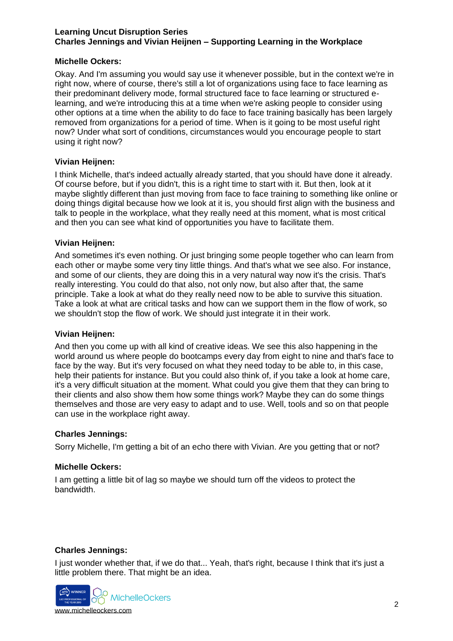## **Michelle Ockers:**

Okay. And I'm assuming you would say use it whenever possible, but in the context we're in right now, where of course, there's still a lot of organizations using face to face learning as their predominant delivery mode, formal structured face to face learning or structured elearning, and we're introducing this at a time when we're asking people to consider using other options at a time when the ability to do face to face training basically has been largely removed from organizations for a period of time. When is it going to be most useful right now? Under what sort of conditions, circumstances would you encourage people to start using it right now?

## **Vivian Heijnen:**

I think Michelle, that's indeed actually already started, that you should have done it already. Of course before, but if you didn't, this is a right time to start with it. But then, look at it maybe slightly different than just moving from face to face training to something like online or doing things digital because how we look at it is, you should first align with the business and talk to people in the workplace, what they really need at this moment, what is most critical and then you can see what kind of opportunities you have to facilitate them.

## **Vivian Heijnen:**

And sometimes it's even nothing. Or just bringing some people together who can learn from each other or maybe some very tiny little things. And that's what we see also. For instance, and some of our clients, they are doing this in a very natural way now it's the crisis. That's really interesting. You could do that also, not only now, but also after that, the same principle. Take a look at what do they really need now to be able to survive this situation. Take a look at what are critical tasks and how can we support them in the flow of work, so we shouldn't stop the flow of work. We should just integrate it in their work.

#### **Vivian Heijnen:**

And then you come up with all kind of creative ideas. We see this also happening in the world around us where people do bootcamps every day from eight to nine and that's face to face by the way. But it's very focused on what they need today to be able to, in this case, help their patients for instance. But you could also think of, if you take a look at home care, it's a very difficult situation at the moment. What could you give them that they can bring to their clients and also show them how some things work? Maybe they can do some things themselves and those are very easy to adapt and to use. Well, tools and so on that people can use in the workplace right away.

#### **Charles Jennings:**

Sorry Michelle, I'm getting a bit of an echo there with Vivian. Are you getting that or not?

#### **Michelle Ockers:**

I am getting a little bit of lag so maybe we should turn off the videos to protect the bandwidth.

#### **Charles Jennings:**

I just wonder whether that, if we do that... Yeah, that's right, because I think that it's just a little problem there. That might be an idea.

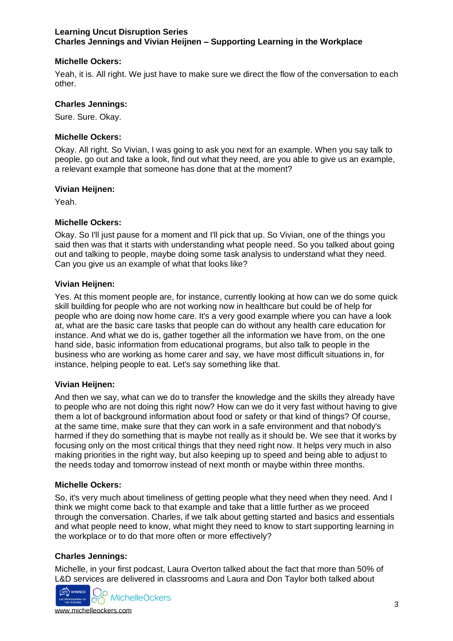## **Michelle Ockers:**

Yeah, it is. All right. We just have to make sure we direct the flow of the conversation to each other.

### **Charles Jennings:**

Sure. Sure. Okay.

### **Michelle Ockers:**

Okay. All right. So Vivian, I was going to ask you next for an example. When you say talk to people, go out and take a look, find out what they need, are you able to give us an example, a relevant example that someone has done that at the moment?

#### **Vivian Heijnen:**

Yeah.

#### **Michelle Ockers:**

Okay. So I'll just pause for a moment and I'll pick that up. So Vivian, one of the things you said then was that it starts with understanding what people need. So you talked about going out and talking to people, maybe doing some task analysis to understand what they need. Can you give us an example of what that looks like?

#### **Vivian Heijnen:**

Yes. At this moment people are, for instance, currently looking at how can we do some quick skill building for people who are not working now in healthcare but could be of help for people who are doing now home care. It's a very good example where you can have a look at, what are the basic care tasks that people can do without any health care education for instance. And what we do is, gather together all the information we have from, on the one hand side, basic information from educational programs, but also talk to people in the business who are working as home carer and say, we have most difficult situations in, for instance, helping people to eat. Let's say something like that.

#### **Vivian Heijnen:**

And then we say, what can we do to transfer the knowledge and the skills they already have to people who are not doing this right now? How can we do it very fast without having to give them a lot of background information about food or safety or that kind of things? Of course, at the same time, make sure that they can work in a safe environment and that nobody's harmed if they do something that is maybe not really as it should be. We see that it works by focusing only on the most critical things that they need right now. It helps very much in also making priorities in the right way, but also keeping up to speed and being able to adjust to the needs today and tomorrow instead of next month or maybe within three months.

#### **Michelle Ockers:**

So, it's very much about timeliness of getting people what they need when they need. And I think we might come back to that example and take that a little further as we proceed through the conversation. Charles, if we talk about getting started and basics and essentials and what people need to know, what might they need to know to start supporting learning in the workplace or to do that more often or more effectively?

# **Charles Jennings:**

Michelle, in your first podcast, Laura Overton talked about the fact that more than 50% of L&D services are delivered in classrooms and Laura and Don Taylor both talked about

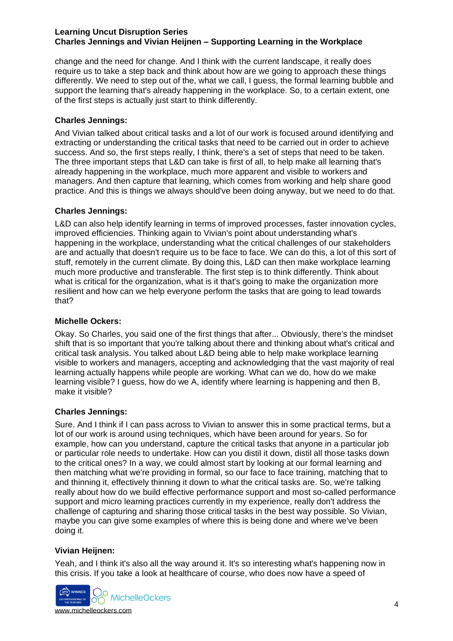change and the need for change. And I think with the current landscape, it really does require us to take a step back and think about how are we going to approach these things differently. We need to step out of the, what we call, I guess, the formal learning bubble and support the learning that's already happening in the workplace. So, to a certain extent, one of the first steps is actually just start to think differently.

## **Charles Jennings:**

And Vivian talked about critical tasks and a lot of our work is focused around identifying and extracting or understanding the critical tasks that need to be carried out in order to achieve success. And so, the first steps really, I think, there's a set of steps that need to be taken. The three important steps that L&D can take is first of all, to help make all learning that's already happening in the workplace, much more apparent and visible to workers and managers. And then capture that learning, which comes from working and help share good practice. And this is things we always should've been doing anyway, but we need to do that.

## **Charles Jennings:**

L&D can also help identify learning in terms of improved processes, faster innovation cycles, improved efficiencies. Thinking again to Vivian's point about understanding what's happening in the workplace, understanding what the critical challenges of our stakeholders are and actually that doesn't require us to be face to face. We can do this, a lot of this sort of stuff, remotely in the current climate. By doing this, L&D can then make workplace learning much more productive and transferable. The first step is to think differently. Think about what is critical for the organization, what is it that's going to make the organization more resilient and how can we help everyone perform the tasks that are going to lead towards that?

#### **Michelle Ockers:**

Okay. So Charles, you said one of the first things that after... Obviously, there's the mindset shift that is so important that you're talking about there and thinking about what's critical and critical task analysis. You talked about L&D being able to help make workplace learning visible to workers and managers, accepting and acknowledging that the vast majority of real learning actually happens while people are working. What can we do, how do we make learning visible? I guess, how do we A, identify where learning is happening and then B, make it visible?

#### **Charles Jennings:**

Sure. And I think if I can pass across to Vivian to answer this in some practical terms, but a lot of our work is around using techniques, which have been around for years. So for example, how can you understand, capture the critical tasks that anyone in a particular job or particular role needs to undertake. How can you distil it down, distil all those tasks down to the critical ones? In a way, we could almost start by looking at our formal learning and then matching what we're providing in formal, so our face to face training, matching that to and thinning it, effectively thinning it down to what the critical tasks are. So, we're talking really about how do we build effective performance support and most so-called performance support and micro learning practices currently in my experience, really don't address the challenge of capturing and sharing those critical tasks in the best way possible. So Vivian, maybe you can give some examples of where this is being done and where we've been doing it.

#### **Vivian Heijnen:**

Yeah, and I think it's also all the way around it. It's so interesting what's happening now in this crisis. If you take a look at healthcare of course, who does now have a speed of

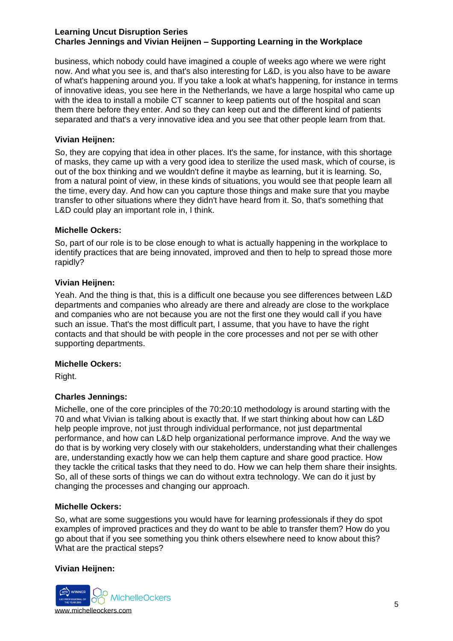business, which nobody could have imagined a couple of weeks ago where we were right now. And what you see is, and that's also interesting for L&D, is you also have to be aware of what's happening around you. If you take a look at what's happening, for instance in terms of innovative ideas, you see here in the Netherlands, we have a large hospital who came up with the idea to install a mobile CT scanner to keep patients out of the hospital and scan them there before they enter. And so they can keep out and the different kind of patients separated and that's a very innovative idea and you see that other people learn from that.

#### **Vivian Heijnen:**

So, they are copying that idea in other places. It's the same, for instance, with this shortage of masks, they came up with a very good idea to sterilize the used mask, which of course, is out of the box thinking and we wouldn't define it maybe as learning, but it is learning. So, from a natural point of view, in these kinds of situations, you would see that people learn all the time, every day. And how can you capture those things and make sure that you maybe transfer to other situations where they didn't have heard from it. So, that's something that L&D could play an important role in, I think.

#### **Michelle Ockers:**

So, part of our role is to be close enough to what is actually happening in the workplace to identify practices that are being innovated, improved and then to help to spread those more rapidly?

#### **Vivian Heijnen:**

Yeah. And the thing is that, this is a difficult one because you see differences between L&D departments and companies who already are there and already are close to the workplace and companies who are not because you are not the first one they would call if you have such an issue. That's the most difficult part, I assume, that you have to have the right contacts and that should be with people in the core processes and not per se with other supporting departments.

#### **Michelle Ockers:**

Right.

#### **Charles Jennings:**

Michelle, one of the core principles of the 70:20:10 methodology is around starting with the 70 and what Vivian is talking about is exactly that. If we start thinking about how can L&D help people improve, not just through individual performance, not just departmental performance, and how can L&D help organizational performance improve. And the way we do that is by working very closely with our stakeholders, understanding what their challenges are, understanding exactly how we can help them capture and share good practice. How they tackle the critical tasks that they need to do. How we can help them share their insights. So, all of these sorts of things we can do without extra technology. We can do it just by changing the processes and changing our approach.

#### **Michelle Ockers:**

So, what are some suggestions you would have for learning professionals if they do spot examples of improved practices and they do want to be able to transfer them? How do you go about that if you see something you think others elsewhere need to know about this? What are the practical steps?

#### **Vivian Heijnen:**

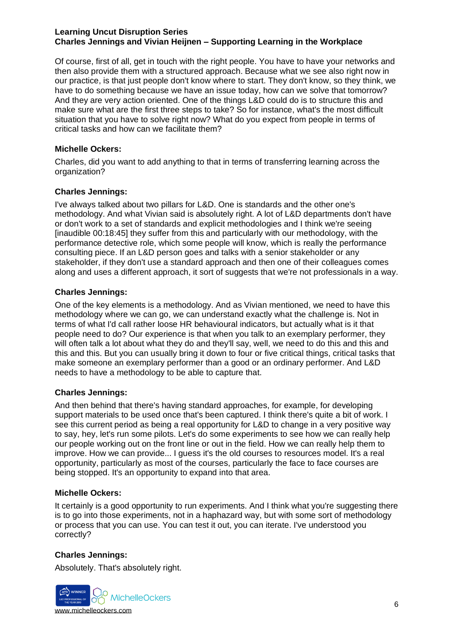Of course, first of all, get in touch with the right people. You have to have your networks and then also provide them with a structured approach. Because what we see also right now in our practice, is that just people don't know where to start. They don't know, so they think, we have to do something because we have an issue today, how can we solve that tomorrow? And they are very action oriented. One of the things L&D could do is to structure this and make sure what are the first three steps to take? So for instance, what's the most difficult situation that you have to solve right now? What do you expect from people in terms of critical tasks and how can we facilitate them?

#### **Michelle Ockers:**

Charles, did you want to add anything to that in terms of transferring learning across the organization?

## **Charles Jennings:**

I've always talked about two pillars for L&D. One is standards and the other one's methodology. And what Vivian said is absolutely right. A lot of L&D departments don't have or don't work to a set of standards and explicit methodologies and I think we're seeing [inaudible 00:18:45] they suffer from this and particularly with our methodology, with the performance detective role, which some people will know, which is really the performance consulting piece. If an L&D person goes and talks with a senior stakeholder or any stakeholder, if they don't use a standard approach and then one of their colleagues comes along and uses a different approach, it sort of suggests that we're not professionals in a way.

## **Charles Jennings:**

One of the key elements is a methodology. And as Vivian mentioned, we need to have this methodology where we can go, we can understand exactly what the challenge is. Not in terms of what I'd call rather loose HR behavioural indicators, but actually what is it that people need to do? Our experience is that when you talk to an exemplary performer, they will often talk a lot about what they do and they'll say, well, we need to do this and this and this and this. But you can usually bring it down to four or five critical things, critical tasks that make someone an exemplary performer than a good or an ordinary performer. And L&D needs to have a methodology to be able to capture that.

# **Charles Jennings:**

And then behind that there's having standard approaches, for example, for developing support materials to be used once that's been captured. I think there's quite a bit of work. I see this current period as being a real opportunity for L&D to change in a very positive way to say, hey, let's run some pilots. Let's do some experiments to see how we can really help our people working out on the front line or out in the field. How we can really help them to improve. How we can provide... I guess it's the old courses to resources model. It's a real opportunity, particularly as most of the courses, particularly the face to face courses are being stopped. It's an opportunity to expand into that area.

#### **Michelle Ockers:**

It certainly is a good opportunity to run experiments. And I think what you're suggesting there is to go into those experiments, not in a haphazard way, but with some sort of methodology or process that you can use. You can test it out, you can iterate. I've understood you correctly?

# **Charles Jennings:**

Absolutely. That's absolutely right.

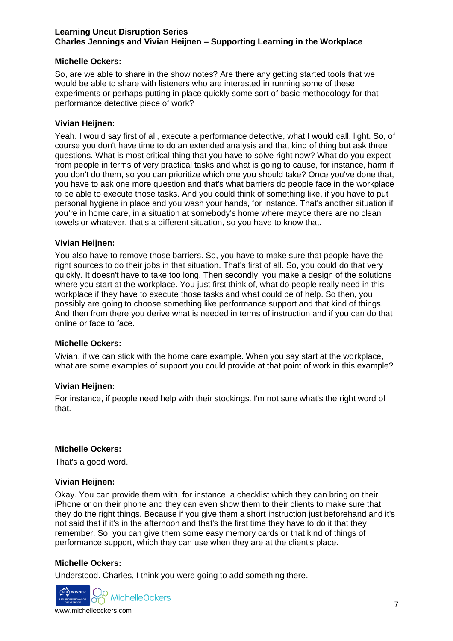### **Michelle Ockers:**

So, are we able to share in the show notes? Are there any getting started tools that we would be able to share with listeners who are interested in running some of these experiments or perhaps putting in place quickly some sort of basic methodology for that performance detective piece of work?

#### **Vivian Heijnen:**

Yeah. I would say first of all, execute a performance detective, what I would call, light. So, of course you don't have time to do an extended analysis and that kind of thing but ask three questions. What is most critical thing that you have to solve right now? What do you expect from people in terms of very practical tasks and what is going to cause, for instance, harm if you don't do them, so you can prioritize which one you should take? Once you've done that, you have to ask one more question and that's what barriers do people face in the workplace to be able to execute those tasks. And you could think of something like, if you have to put personal hygiene in place and you wash your hands, for instance. That's another situation if you're in home care, in a situation at somebody's home where maybe there are no clean towels or whatever, that's a different situation, so you have to know that.

## **Vivian Heijnen:**

You also have to remove those barriers. So, you have to make sure that people have the right sources to do their jobs in that situation. That's first of all. So, you could do that very quickly. It doesn't have to take too long. Then secondly, you make a design of the solutions where you start at the workplace. You just first think of, what do people really need in this workplace if they have to execute those tasks and what could be of help. So then, you possibly are going to choose something like performance support and that kind of things. And then from there you derive what is needed in terms of instruction and if you can do that online or face to face.

#### **Michelle Ockers:**

Vivian, if we can stick with the home care example. When you say start at the workplace, what are some examples of support you could provide at that point of work in this example?

# **Vivian Heijnen:**

For instance, if people need help with their stockings. I'm not sure what's the right word of that.

#### **Michelle Ockers:**

That's a good word.

#### **Vivian Heijnen:**

Okay. You can provide them with, for instance, a checklist which they can bring on their iPhone or on their phone and they can even show them to their clients to make sure that they do the right things. Because if you give them a short instruction just beforehand and it's not said that if it's in the afternoon and that's the first time they have to do it that they remember. So, you can give them some easy memory cards or that kind of things of performance support, which they can use when they are at the client's place.

#### **Michelle Ockers:**

Understood. Charles, I think you were going to add something there.

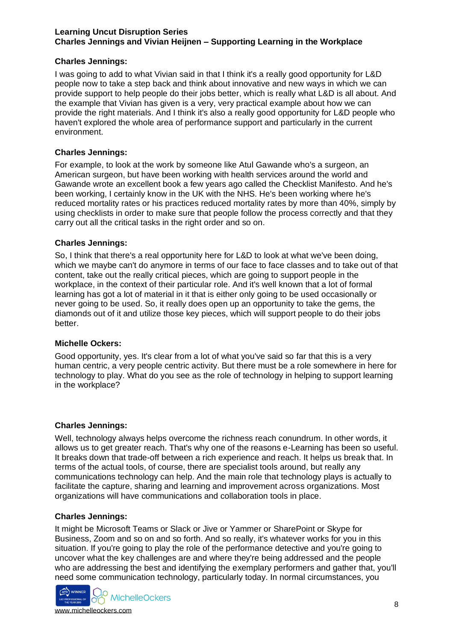# **Charles Jennings:**

I was going to add to what Vivian said in that I think it's a really good opportunity for L&D people now to take a step back and think about innovative and new ways in which we can provide support to help people do their jobs better, which is really what L&D is all about. And the example that Vivian has given is a very, very practical example about how we can provide the right materials. And I think it's also a really good opportunity for L&D people who haven't explored the whole area of performance support and particularly in the current environment.

## **Charles Jennings:**

For example, to look at the work by someone like Atul Gawande who's a surgeon, an American surgeon, but have been working with health services around the world and Gawande wrote an excellent book a few years ago called the Checklist Manifesto. And he's been working, I certainly know in the UK with the NHS. He's been working where he's reduced mortality rates or his practices reduced mortality rates by more than 40%, simply by using checklists in order to make sure that people follow the process correctly and that they carry out all the critical tasks in the right order and so on.

## **Charles Jennings:**

So, I think that there's a real opportunity here for L&D to look at what we've been doing, which we maybe can't do anymore in terms of our face to face classes and to take out of that content, take out the really critical pieces, which are going to support people in the workplace, in the context of their particular role. And it's well known that a lot of formal learning has got a lot of material in it that is either only going to be used occasionally or never going to be used. So, it really does open up an opportunity to take the gems, the diamonds out of it and utilize those key pieces, which will support people to do their jobs better.

#### **Michelle Ockers:**

Good opportunity, yes. It's clear from a lot of what you've said so far that this is a very human centric, a very people centric activity. But there must be a role somewhere in here for technology to play. What do you see as the role of technology in helping to support learning in the workplace?

#### **Charles Jennings:**

Well, technology always helps overcome the richness reach conundrum. In other words, it allows us to get greater reach. That's why one of the reasons e-Learning has been so useful. It breaks down that trade-off between a rich experience and reach. It helps us break that. In terms of the actual tools, of course, there are specialist tools around, but really any communications technology can help. And the main role that technology plays is actually to facilitate the capture, sharing and learning and improvement across organizations. Most organizations will have communications and collaboration tools in place.

#### **Charles Jennings:**

It might be Microsoft Teams or Slack or Jive or Yammer or SharePoint or Skype for Business, Zoom and so on and so forth. And so really, it's whatever works for you in this situation. If you're going to play the role of the performance detective and you're going to uncover what the key challenges are and where they're being addressed and the people who are addressing the best and identifying the exemplary performers and gather that, you'll need some communication technology, particularly today. In normal circumstances, you



[www.michelleockers.com](https://michelleockers.com/)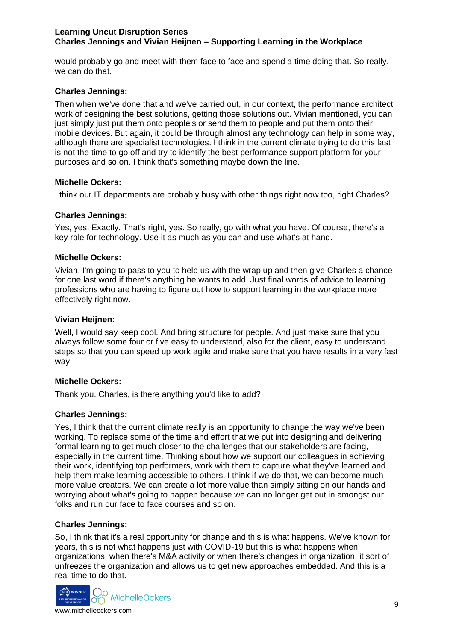would probably go and meet with them face to face and spend a time doing that. So really, we can do that.

### **Charles Jennings:**

Then when we've done that and we've carried out, in our context, the performance architect work of designing the best solutions, getting those solutions out. Vivian mentioned, you can just simply just put them onto people's or send them to people and put them onto their mobile devices. But again, it could be through almost any technology can help in some way, although there are specialist technologies. I think in the current climate trying to do this fast is not the time to go off and try to identify the best performance support platform for your purposes and so on. I think that's something maybe down the line.

#### **Michelle Ockers:**

I think our IT departments are probably busy with other things right now too, right Charles?

#### **Charles Jennings:**

Yes, yes. Exactly. That's right, yes. So really, go with what you have. Of course, there's a key role for technology. Use it as much as you can and use what's at hand.

#### **Michelle Ockers:**

Vivian, I'm going to pass to you to help us with the wrap up and then give Charles a chance for one last word if there's anything he wants to add. Just final words of advice to learning professions who are having to figure out how to support learning in the workplace more effectively right now.

#### **Vivian Heijnen:**

Well, I would say keep cool. And bring structure for people. And just make sure that you always follow some four or five easy to understand, also for the client, easy to understand steps so that you can speed up work agile and make sure that you have results in a very fast way.

### **Michelle Ockers:**

Thank you. Charles, is there anything you'd like to add?

#### **Charles Jennings:**

Yes, I think that the current climate really is an opportunity to change the way we've been working. To replace some of the time and effort that we put into designing and delivering formal learning to get much closer to the challenges that our stakeholders are facing, especially in the current time. Thinking about how we support our colleagues in achieving their work, identifying top performers, work with them to capture what they've learned and help them make learning accessible to others. I think if we do that, we can become much more value creators. We can create a lot more value than simply sitting on our hands and worrying about what's going to happen because we can no longer get out in amongst our folks and run our face to face courses and so on.

#### **Charles Jennings:**

So, I think that it's a real opportunity for change and this is what happens. We've known for years, this is not what happens just with COVID-19 but this is what happens when organizations, when there's M&A activity or when there's changes in organization, it sort of unfreezes the organization and allows us to get new approaches embedded. And this is a real time to do that.



[www.michelleockers.com](https://michelleockers.com/)